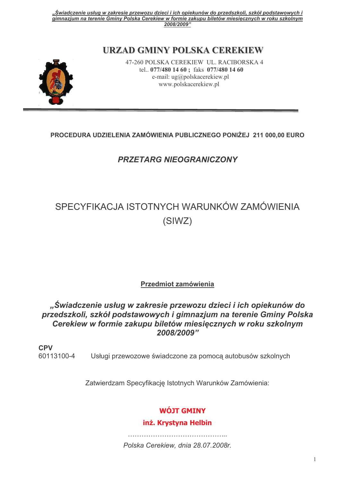# URZAD GMINY POLSKA CEREKIEW



47-260 POLSKA CEREKIEW UL. RACIBORSKA 4 tel.. 077/480 14 60; faks 077/480 14 60 e-mail:  $\text{ug@polskacere}$ kiew.pl www.polskacerekiew.pl

# PROCEDURA UDZIELENIA ZAMÓWIENIA PUBLICZNEGO PONIŻEJ 211 000.00 EURO

# **PRZETARG NIEOGRANICZONY**

# SPECYFIKACJA ISTOTNYCH WARUNKÓW ZAMÓWIENIA (SIWZ)

#### **Przedmiot zamówienia**

"Świadczenie usług w zakresie przewozu dzieci i ich opiekunów do przedszkoli, szkół podstawowych i gimnazjum na terenie Gminy Polska Cerekiew w formie zakupu biletów miesięcznych w roku szkolnym 2008/2009"

**CPV** Usługi przewozowe świadczone za pomocą autobusów szkolnych 60113100-4

Zatwierdzam Specyfikację Istotnych Warunków Zamówienia:

# **WÓJT GMINY**

#### inż. Krystyna Helbin

Polska Cerekiew, dnia 28.07.2008r.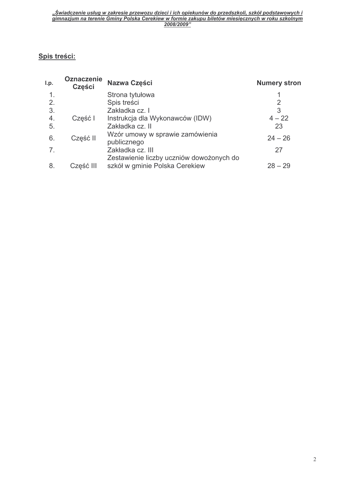## Spis treści:

| l.p.           | <b>Oznaczenie</b><br>Części | Nazwa Części                                                               | <b>Numery stron</b> |
|----------------|-----------------------------|----------------------------------------------------------------------------|---------------------|
|                |                             | Strona tytułowa                                                            |                     |
| 2.             |                             | Spis treści                                                                | 2                   |
| 3.             |                             | Zakładka cz. I                                                             | 3                   |
| 4.             | Część I                     | Instrukcja dla Wykonawców (IDW)                                            | $4 - 22$            |
| 5.             |                             | Zakładka cz. II                                                            | 23                  |
| 6.             | Część II                    | Wzór umowy w sprawie zamówienia<br>publicznego                             | $24 - 26$           |
| 7 <sub>1</sub> |                             | Zakładka cz. III                                                           | 27                  |
| 8.             | Część III                   | Zestawienie liczby uczniów dowożonych do<br>szkół w gminie Polska Cerekiew | $28 - 29$           |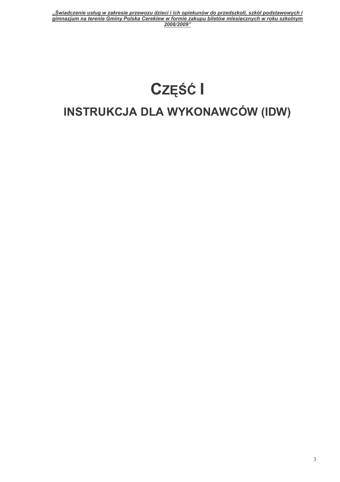# Część I INSTRUKCJA DLA WYKONAWCÓW (IDW)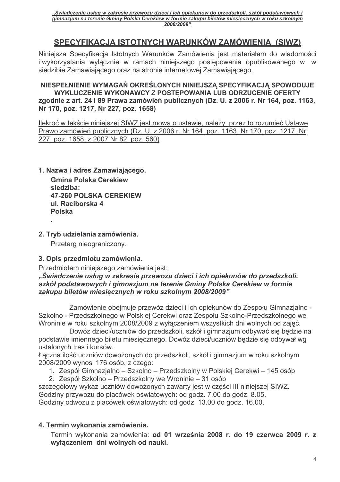# SPECYFIKACJA ISTOTNYCH WARUNKÓW ZAMÓWIENIA (SIWZ)

Niniejsza Specyfikacja Istotnych Warunków Zamówienia jest materiałem do wiadomości i wykorzystania wyłącznie w ramach niniejszego postępowania opublikowanego w w siedzibie Zamawiającego oraz na stronie internetowej Zamawiającego.

#### NIESPEŁNIENIE WYMAGAŃ OKREŚLONYCH NINIEJSZA SPECYFIKACJA SPOWODUJE WYKLUCZENIE WYKONAWCY Z POSTĘPOWANIA LUB ODRZUCENIE OFERTY zgodnie z art. 24 i 89 Prawa zamówień publicznych (Dz. U. z 2006 r. Nr 164, poz. 1163, Nr 170, poz. 1217, Nr 227, poz. 1658)

Ilekroć w tekście niniejszej SIWZ jest mowa o ustawie, należy przez to rozumieć Ustawę Prawo zamówień publicznych (Dz. U. z 2006 r. Nr 164, poz. 1163, Nr 170, poz. 1217, Nr 227, poz. 1658, z 2007 Nr 82, poz. 560)

1. Nazwa i adres Zamawiającego.

**Gmina Polska Cerekiew** siedziba: **47-260 POLSKA CEREKIEW** ul. Raciborska 4 **Polska** 

## 2. Tryb udzielania zamówienia.

Przetarg nieograniczony.

#### 3. Opis przedmiotu zamówienia.

Przedmiotem niniejszego zamówienia jest:

#### "Świadczenie usług w zakresie przewozu dzieci i ich opiekunów do przedszkoli, szkół podstawowych i gimnazjum na terenie Gminy Polska Cerekiew w formie zakupu biletów miesięcznych w roku szkolnym 2008/2009"

Zamówienie obejmuje przewóz dzieci i ich opiekunów do Zespołu Gimnazjalno -Szkolno - Przedszkolnego w Polskiej Cerekwi oraz Zespołu Szkolno-Przedszkolnego we Wroninie w roku szkolnym 2008/2009 z wyłaczeniem wszystkich dni wolnych od zajeć.

Dowóz dzieci/uczniów do przedszkoli, szkół i gimnazjum odbywać się będzie na podstawie imiennego biletu miesięcznego. Dowóz dzieci/uczniów będzie się odbywał wg ustalonych tras i kursów.

Łączna ilość uczniów dowożonych do przedszkoli, szkół i gimnazjum w roku szkolnym 2008/2009 wynosi 176 osób, z czego:

1. Zespół Gimnazjalno – Szkolno – Przedszkolny w Polskiej Cerekwi – 145 osób

2. Zespół Szkolno – Przedszkolny we Wroninie – 31 osób

szczegółowy wykaz uczniów dowożonych zawarty jest w cześci III niniejszej SIWZ. Godziny przywozu do placówek oświatowych: od godz. 7.00 do godz. 8.05. Godziny odwozu z placówek oświatowych: od godz. 13.00 do godz. 16.00.

# 4. Termin wykonania zamówienia.

Termin wykonania zamówienia: od 01 września 2008 r. do 19 czerwca 2009 r. z wyłaczeniem dni wolnych od nauki.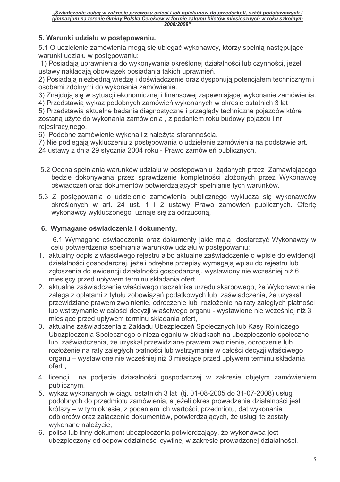## 5. Warunki udziału w postepowaniu.

5.1 O udzielenie zamówienia mogą się ubiegać wykonawcy, którzy spełnią następujące warunki udziału w postepowaniu:

1) Posiadają uprawnienia do wykonywania określonej działalności lub czynności, jeżeli ustawy nakładają obowiązek posiadania takich uprawnień.

2) Posiadaja niezbedna wiedze i doświadczenie oraz dysponuja potencjałem technicznym i osobami zdolnymi do wykonania zamówienia.

3) Znajdują się w sytuacji ekonomicznej i finansowej zapewniającej wykonanie zamówienia.

4) Przedstawią wykaz podobnych zamówień wykonanych w okresie ostatnich 3 lat

5) Przedstawią aktualne badania diagnostyczne i przeglądy techniczne pojazdów które zostana użyte do wykonania zamówienia, z podaniem roku budowy pojazdu i nr rejestracyjnego.

6) Podobne zamówienie wykonali z należyta starannościa.

7) Nie podlegają wykluczeniu z postepowania o udzielenie zamówienia na podstawie art.

24 ustawy z dnia 29 stycznia 2004 roku - Prawo zamówień publicznych.

- 5.2 Ocena spełniania warunków udziału w postępowaniu żądanych przez Zamawiającego będzie dokonywana przez sprawdzenie kompletności złożonych przez Wykonawcę oświadczeń oraz dokumentów potwierdzających spełnianie tych warunków.
- 5.3 Z postępowania o udzielenie zamówienia publicznego wyklucza się wykonawców określonych w art. 24 ust. 1 i 2 ustawy Prawo zamówień publicznych. Ofertę wykonawcy wykluczonego uznaje się za odrzuconą.

#### 6. Wymagane oświadczenia i dokumenty.

6.1 Wymagane oświadczenia oraz dokumenty jakie mają dostarczyć Wykonawcy w celu potwierdzenia spełniania warunków udziału w postepowaniu:

- 1. aktualny odpis z właściwego rejestru albo aktualne zaświadczenie o wpisie do ewidencji działalności gospodarczej, jeżeli odrębne przepisy wymagają wpisu do rejestru lub zgłoszenia do ewidencji działalności gospodarczej, wystawiony nie wcześniej niż 6 miesiecy przed upływem terminu składania ofert.
- 2. aktualne zaświadczenie właściwego naczelnika urzedu skarbowego, że Wykonawca nie zalega z opłatami z tytułu zobowiązań podatkowych lub zaświadczenia, że uzyskał przewidziane prawem zwolnienie, odroczenie lub rozłożenie na raty zaległych płatności lub wstrzymanie w całości decyzji właściwego organu - wystawione nie wcześniej niż 3 miesiace przed upływem terminu składania ofert,
- 3. aktualne zaświadczenia z Zakładu Ubezpieczeń Społecznych lub Kasy Rolniczego Ubezpieczenia Społecznego o niezaleganiu w składkach na ubezpieczenie społeczne lub zaświadczenia, że uzyskał przewidziane prawem zwolnienie, odroczenie lub rozłożenie na raty zaległych płatności lub wstrzymanie w całości decyzji właściwego organu – wystawione nie wcześniej niż 3 miesiące przed upływem terminu składania ofert.
- 4. licencii na podjecie działalności gospodarczej w zakresie objętym zamówieniem publicznym,
- 5. wykaz wykonanych w ciągu ostatnich 3 lat (tj. 01-08-2005 do 31-07-2008) usług podobnych do przedmiotu zamówienia, a jeżeli okres prowadzenia działalności jest krótszy – w tym okresie, z podaniem ich wartości, przedmiotu, dat wykonania i odbiorców oraz załaczenie dokumentów, potwierdzających, że usługi te zostały wykonane należycie.
- 6. polisa lub inny dokument ubezpieczenia potwierdzający, że wykonawca jest ubezpieczony od odpowiedzialności cywilnej w zakresie prowadzonej działalności,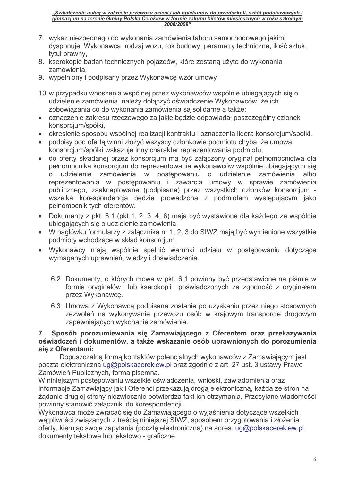- 7. wykaz niezbednego do wykonania zamówienia taboru samochodowego jakimi dysponuje Wykonawca, rodzaj wozu, rok budowy, parametry techniczne, ilość sztuk, tytuł prawny,
- 8. kserokopie badań technicznych pojazdów, które zostana użyte do wykonania zamówienia,
- 9. wypełniony i podpisany przez Wykonawcę wzór umowy
- 10. w przypadku wnoszenia wspólnej przez wykonawców wspólnie ubiegających się o udzielenie zamówienia, należy dołączyć oświadczenie Wykonawców, że ich zobowiązania co do wykonania zamówienia są solidarne a także:
- oznaczenie zakresu rzeczowego za jakie bedzie odpowiadał poszczególny członek  $\bullet$ konsorcjum/spółki,
- · określenie sposobu wspólnej realizacji kontraktu i oznaczenia lidera konsorcjum/spółki,
- podpisy pod ofertą winni złożyć wszyscy członkowie podmiotu chyba, że umowa konsorcjum/spółki wskazuje inny charakter reprezentowania podmiotu,
- do oferty składanej przez konsorcjum ma być załączony oryginał pełnomocnictwa dla pełnomocnika konsorcjum do reprezentowania wykonawców wspólnie ubiegających się udzielenie zamówienia W postepowaniu o udzielenie zamówienia albo  $\overline{O}$ reprezentowania w postępowaniu i zawarcia umowy w sprawie zamówienia publicznego, zaakceptowane (podpisane) przez wszystkich członków konsorcjum wszelka korespondencja będzie prowadzona z podmiotem występującym jako pełnomocnik tych oferentów.
- Dokumenty z pkt. 6.1 (pkt 1, 2, 3, 4, 6) mają być wystawione dla każdego ze wspólnie ubiegających się o udzielenie zamówienia.
- W nagłówku formularzy z załącznika nr 1, 2, 3 do SIWZ mają być wymienione wszystkie podmioty wchodzące w skład konsorcjum.
- · Wykonawcy mają wspólnie spełnić warunki udziału w postepowaniu dotyczace wymaganych uprawnień, wiedzy i doświadczenia.
	- 6.2 Dokumenty, o których mowa w pkt. 6.1 powinny być przedstawione na piśmie w formie oryginałów lub kserokopii poświadczonych za zgodność z oryginałem przez Wykonawcę.
	- 6.3 Umowa z Wykonawcą podpisana zostanie po uzyskaniu przez niego stosownych zezwoleń na wykonywanie przewozu osób w krajowym transporcie drogowym zapewniających wykonanie zamówienia.

#### 7. Sposób porozumiewania się Zamawiającego z Oferentem oraz przekazywania oświadczeń i dokumentów, a także wskazanie osób uprawnionych do porozumienia sie z Oferentami:

Dopuszczalną formą kontaktów potencjalnych wykonawców z Zamawiającym jest poczta elektroniczna ug@polskacerekiew.pl oraz zgodnie z art. 27 ust. 3 ustawy Prawo Zamówień Publicznych, forma pisemna.

W niniejszym postepowaniu wszelkie oświadczenia, wnioski, zawiadomienia oraz informacje Zamawiający jak i Oferenci przekazują drogą elektroniczną, każdą ze stron na żądanie drugiej strony niezwłocznie potwierdza fakt ich otrzymania. Przesyłane wiadomości powinny stanowić załaczniki do korespondencii.

Wykonawca może zwracać się do Zamawiającego o wyjaśnienia dotyczące wszelkich wątpliwości związanych z treścią niniejszej SIWZ, sposobem przygotowania i złożenia oferty, kierując swoje zapytania (pocztę elektroniczną) na adres: ug@polskacerekiew.pl dokumenty tekstowe lub tekstowo - graficzne.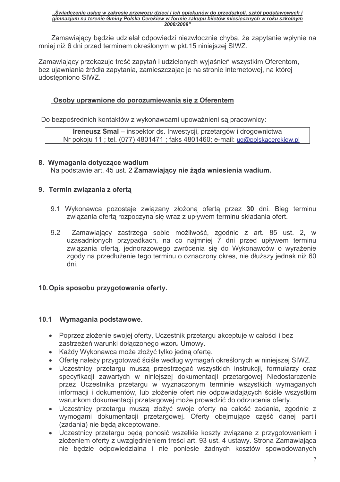Zamawiający będzie udzielał odpowiedzi niezwłocznie chyba, że zapytanie wpłynie na mniej niż 6 dni przed terminem określonym w pkt.15 niniejszej SIWZ.

Zamawiający przekazuje treść zapytań i udzielonych wyjaśnień wszystkim Oferentom. bez ujawniania źródła zapytania, zamieszczając je na stronie internetowej, na której udostępniono SIWZ.

#### Osoby uprawnione do porozumiewania się z Oferentem

Do bezpośrednich kontaktów z wykonawcami upoważnieni są pracownicy:

Ireneusz Smal - inspektor ds. Inwestycji, przetargów i drogownictwa Nr pokoju 11; tel. (077) 4801471; faks 4801460; e-mail: ug@polskacerekiew.pl

# 8. Wymagania dotyczące wadium

Na podstawie art. 45 ust. 2 Zamawiający nie żąda wniesienia wadium.

#### 9. Termin związania z ofertą

- 9.1 Wykonawca pozostaje związany złożoną ofertą przez 30 dni. Bieg terminu związania ofertą rozpoczyna się wraz z upływem terminu składania ofert.
- $9.2$ Zamawiający zastrzega sobie możliwość, zgodnie z art. 85 ust. 2, w uzasadnionych przypadkach, na co najmniej 7 dni przed upływem terminu związania oferta, jednorazowego zwrócenia się do Wykonawców o wyrażenie zgody na przedłużenie tego terminu o oznaczony okres, nie dłuższy jednak niż 60 dni.

#### 10. Opis sposobu przygotowania oferty.

#### 10.1 Wymagania podstawowe.

- Poprzez złożenie swojej oferty, Uczestnik przetargu akceptuje w całości i bez zastrzeżeń warunki dołączonego wzoru Umowy.
- Każdy Wykonawca może złożyć tylko jedną ofertę.
- Oferte należy przygotować ściśle według wymagań określonych w niniejszej SIWZ.
- Uczestnicy przetargu musza przestrzegać wszystkich instrukcji, formularzy oraz specyfikacji zawartych w niniejszej dokumentacji przetargowej Niedostarczenie przez Uczestnika przetargu w wyznaczonym terminie wszystkich wymaganych informacji i dokumentów, lub złożenie ofert nie odpowiadających ściśle wszystkim warunkom dokumentacji przetargowej może prowadzić do odrzucenia oferty.
- · Uczestnicy przetargu muszą złożyć swoje oferty na całość zadania, zgodnie z wymogami dokumentacji przetargowej. Oferty obejmujące część danej partii (zadania) nie będą akceptowane.
- · Uczestnicy przetargu będą ponosić wszelkie koszty związane z przygotowaniem i złożeniem oferty z uwzględnieniem treści art. 93 ust. 4 ustawy. Strona Zamawiająca nie będzie odpowiedzialna i nie poniesie żadnych kosztów spowodowanych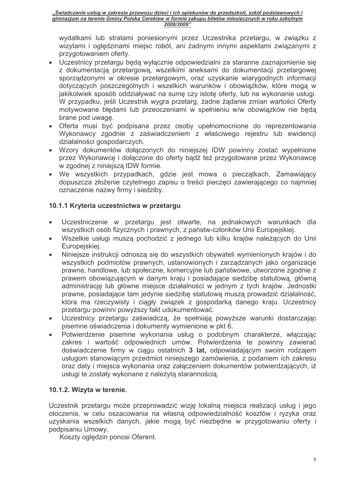wydatkami lub stratami poniesionymi przez Uczestnika przetargu, w związku z wizytami i oględzinami miejsc robót, ani żadnymi innymi aspektami związanymi z przygotowaniem oferty.

- Uczestnicy przetargu będą wyłącznie odpowiedzialni za staranne zaznajomienie się z dokumentacja przetargową, wszelkimi aneksami do dokumentacji przetargowej sporządzonymi w okresie przetargowym, oraz uzyskanie wiarygodnych informacji dotyczących poszczególnych i wszelkich warunków i obowiązków, które mogą w jakikolwiek sposób oddziaływać na sumę czy istotę oferty, lub na wykonanie usługi. W przypadku, jeśli Uczestnik wygra przetarg, żadne żądanie zmian wartości Oferty motywowane błędami lub przeoczeniami w spełnieniu w/w obowiązków nie będą brane pod uwage.
- · Oferta musi być podpisana przez osoby upełnomocnione do reprezentowania Wykonawcy zgodnie z zaświadczeniem z właściwego rejestru lub ewidencji działalności gospodarczych.
- · Wzory dokumentów dołączonych do niniejszej IDW powinny zostać wypełnione przez Wykonawcę i dołączone do oferty bądź też przygotowane przez Wykonawcę w zgodnej z niniejsza IDW formie.
- We wszystkich przypadkach, gdzie jest mowa o pieczątkach, Zamawiający dopuszcza złożenie czytelnego zapisu o treści pieczeci zawierającego co najmniej oznaczenie nazwy firmy i siedziby.

## 10.1.1 Kryteria uczestnictwa w przetargu

- Uczestniczenie w przetargu jest otwarte, na jednakowych warunkach dla  $\bullet$ wszystkich osób fizycznych i prawnych, z państw-członków Unii Europejskiej.
- Wszelkie usługi muszą pochodzić z jednego lub kilku krajów należących do Unii  $\bullet$ Europejskiej.
- Niniejsze instrukcji odnoszą się do wszystkich obywateli wymienionych krajów i do  $\bullet$ wszystkich podmiotów prawnych, ustanowionych i zarządzanych jako organizacje prawne, handlowe, lub społeczne, komercyjne lub państwowe, utworzone zgodnie z prawem obowiązującym w danym kraju i posiadające siedzibę statutową, główną administracie lub główne miejsce działalności w jednym z tych krajów. Jednostki prawne, posiadające tam jedynie siedzibę statutową muszą prowadzić działalność, która ma rzeczywisty i ciągły związek z gospodarką danego kraju. Uczestnicy przetargu powinni powyższy fakt udokumentować.
- Uczestnicy przetargu zaświadczą, że spełniają powyższe warunki dostarczając  $\bullet$ pisemne oświadczenia i dokumenty wymienione w pkt 6.
- Potwierdzenie pisemne wykonania usług o podobnym charakterze, włączając  $\bullet$ zakres i wartość odpowiednich umów. Potwierdzenia te powinny zawierać doświadczenie firmy w ciągu ostatnich 3 lat, odpowiadającym swoim rodzajem usługom stanowiącym przedmiot niniejszego zamówienia, z podaniem ich zakresu oraz daty i miejsca wykonania oraz załączeniem dokumentów potwierdzających, iż usługi te zostały wykonane z należyta starannościa.

#### 10.1.2. Wizyta w terenie.

Uczestnik przetargu może przeprowadzić wizję lokalną miejsca realizacji usług i jego otoczenia, w celu oszacowania na własną odpowiedzialność kosztów i ryzyka oraz uzyskania wszelkich danych, jakie mogą być niezbędne w przygotowaniu oferty i podpisaniu Umowy.

Koszty ogledzin ponosi Oferent.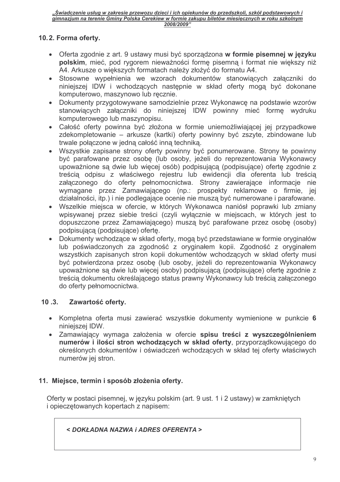#### 10.2. Forma oferty.

- Oferta zgodnie z art. 9 ustawy musi być sporządzona w formie pisemnej w języku polskim, mieć, pod rygorem nieważności formę pisemną i format nie większy niż A4. Arkusze o większych formatach należy złożyć do formatu A4.
- Stosowne wypełnienia we wzorach dokumentów stanowiacych załaczniki do niniejszej IDW i wchodzacych następnie w skład oferty moga być dokonane komputerowo, maszynowo lub recznie.
- Dokumenty przygotowywane samodzielnie przez Wykonawcę na podstawie wzorów stanowiących załączniki do niniejszej IDW powinny mieć formę wydruku komputerowego lub maszynopisu.
- Całość oferty powinna być złożona w formie uniemożliwiającej jej przypadkowe zdekompletowanie – arkusze (kartki) oferty powinny być zszyte, zbindowane lub trwale połaczone w jedna całość inna technika.
- Wszystkie zapisane strony oferty powinny być ponumerowane. Strony te powinny być parafowane przez osobę (lub osoby, jeżeli do reprezentowania Wykonawcy upoważnione sa dwie lub więcej osób) podpisująca (podpisujące) oferte zgodnie z treścia odpisu z właściwego rejestru lub ewidencji dla oferenta lub treścia załączonego do oferty pełnomocnictwa. Strony zawierające informacje nie wymagane przez Zamawiającego (np.: prospekty reklamowe o firmie, jej działalności, itp.) i nie podlegające ocenie nie muszą być numerowane i parafowane.
- · Wszelkie miejsca w ofercie, w których Wykonawca naniósł poprawki lub zmiany wpisywanej przez siebie treści (czyli wyłącznie w miejscach, w których jest to dopuszczone przez Zamawiającego) muszą być parafowane przez osobe (osoby) podpisującą (podpisujące) ofertę.
- Dokumenty wchodzace w skład oferty, moga być przedstawiane w formie oryginałów lub poświadczonych za zgodność z oryginałem kopii. Zgodność z oryginałem wszystkich zapisanych stron kopii dokumentów wchodzących w skład oferty musi być potwierdzona przez osobę (lub osoby, jeżeli do reprezentowania Wykonawcy upoważnione są dwie lub więcej osoby) podpisującą (podpisujące) ofertę zgodnie z treścią dokumentu określającego status prawny Wykonawcy lub treścią załączonego do oferty pełnomocnictwa.

#### $10.3.$ Zawartość oferty.

- Kompletna oferta musi zawierać wszystkie dokumenty wymienione w punkcie 6 niniejszej IDW.
- · Zamawiający wymaga założenia w ofercie spisu treści z wyszczególnieniem numerów i ilości stron wchodzących w skład oferty, przyporządkowującego do określonych dokumentów i oświadczeń wchodzących w skład tej oferty właściwych numerów jej stron.

#### 11. Miejsce, termin i sposób złożenia oferty.

Oferty w postaci pisemnej, w języku polskim (art. 9 ust. 1 i 2 ustawy) w zamkniętych i opieczetowanych kopertach z napisem:

< DOKŁADNA NAZWA i ADRES OFERENTA >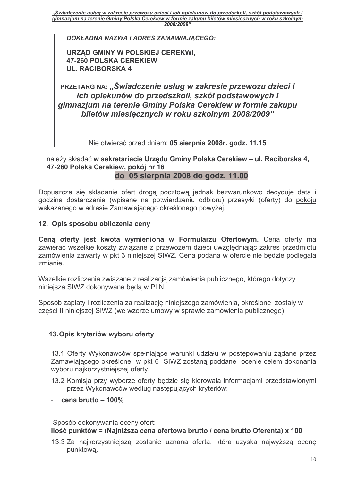DOKŁADNA NAZWA i ADRES ZAMAWIAJĄCEGO:

URZĄD GMINY W POLSKIEJ CEREKWI, **47-260 POLSKA CEREKIEW UL. RACIBORSKA 4** 

PRZETARG NA: "Świadczenie usług w zakresie przewozu dzieci i ich opiekunów do przedszkoli, szkół podstawowych i gimnazjum na terenie Gminy Polska Cerekiew w formie zakupu biletów miesiecznych w roku szkolnym 2008/2009"

Nie otwierać przed dniem: 05 sierpnia 2008r. godz. 11.15

#### należy składać w sekretariacie Urzędu Gminy Polska Cerekiew - ul. Raciborska 4, 47-260 Polska Cerekiew, pokój nr 16 do 05 sierpnia 2008 do godz. 11.00

Dopuszcza się składanie ofert drogą pocztową jednak bezwarunkowo decyduje data i godzina dostarczenia (wpisane na potwierdzeniu odbioru) przesyłki (oferty) do pokoju wskazanego w adresie Zamawiającego określonego powyżej.

#### 12. Opis sposobu obliczenia ceny

Cena oferty jest kwota wymieniona w Formularzu Ofertowym. Cena oferty ma zawierać wszelkie koszty związane z przewozem dzieci uwzględniając zakres przedmiotu zamówienia zawarty w pkt 3 niniejszej SIWZ. Cena podana w ofercie nie bedzie podlegała zmianie.

Wszelkie rozliczenia związane z realizacją zamówienia publicznego, którego dotyczy niniejsza SIWZ dokonywane beda w PLN.

Sposób zapłaty i rozliczenia za realizację niniejszego zamówienia, określone zostały w części II niniejszej SIWZ (we wzorze umowy w sprawie zamówienia publicznego)

#### 13. Opis kryteriów wyboru oferty

13.1 Oferty Wykonawców spełniające warunki udziału w postępowaniu żądane przez Zamawiającego określone w pkt 6 SIWZ zostaną poddane ocenie celem dokonania wyboru najkorzystniejszej oferty.

- 13.2 Komisja przy wyborze oferty będzie się kierowała informacjami przedstawionymi przez Wykonawców według następujących kryteriów:
- cena brutto  $-100\%$

Sposób dokonywania oceny ofert: Ilość punktów = (Najniższa cena ofertowa brutto / cena brutto Oferenta) x 100

13.3 Za najkorzystniejszą zostanie uznana oferta, która uzyska najwyższą ocenę punktowa.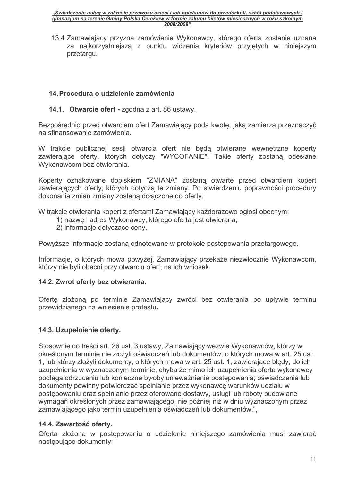13.4 Zamawiający przyzna zamówienie Wykonawcy, którego oferta zostanie uznana za najkorzystniejszą z punktu widzenia kryteriów przyjętych w niniejszym przetargu.

#### 14. Procedura o udzielenie zamówienia

14.1. Otwarcie ofert - zgodna z art. 86 ustawy,

Bezpośrednio przed otwarciem ofert Zamawiający poda kwotę, jaką zamierza przeznaczyć na sfinansowanie zamówienia.

W trakcie publicznej sesji otwarcia ofert nie będą otwierane wewnętrzne koperty zawierające oferty, których dotyczy "WYCOFANIE". Takie oferty zostaną odesłane Wykonawcom bez otwierania.

Koperty oznakowane dopiskiem "ZMIANA" zostaną otwarte przed otwarciem kopert zawierających oferty, których dotyczą te zmiany. Po stwierdzeniu poprawności procedury dokonania zmian zmiany zostaną dołączone do oferty.

W trakcie otwierania kopert z ofertami Zamawiający każdorazowo ogłosi obecnym:

- 1) nazwę i adres Wykonawcy, którego oferta jest otwierana;
- 2) informacje dotyczące ceny,

Powyższe informacje zostaną odnotowane w protokole postępowania przetargowego.

Informacje, o których mowa powyżej, Zamawiający przekaże niezwłocznie Wykonawcom, którzy nie byli obecni przy otwarciu ofert, na ich wniosek.

#### 14.2. Zwrot oferty bez otwierania.

Ofertę złożoną po terminie Zamawiający zwróci bez otwierania po upływie terminu przewidzianego na wniesienie protestu.

#### 14.3. Uzupełnienie oferty.

Stosownie do treści art. 26 ust. 3 ustawy, Zamawiający wezwie Wykonawców, którzy w określonym terminie nie złożyli oświadczeń lub dokumentów, o których mowa w art. 25 ust. 1. lub którzy złożyli dokumenty, o których mowa w art. 25 ust. 1. zawierające błedy, do ich uzupełnienia w wyznaczonym terminie, chyba że mimo ich uzupełnienia oferta wykonawcy podlega odrzuceniu lub konieczne byłoby unieważnienie postępowania; oświadczenia lub dokumenty powinny potwierdzać spełnianie przez wykonawcę warunków udziału w postępowaniu oraz spełnianie przez oferowane dostawy, usługi lub roboty budowlane wymagań określonych przez zamawiającego, nie później niż w dniu wyznaczonym przez zamawiającego jako termin uzupełnienia oświadczeń lub dokumentów.",

#### 14.4. Zawartość oferty.

Oferta złożona w postępowaniu o udzielenie niniejszego zamówienia musi zawierać następujące dokumenty: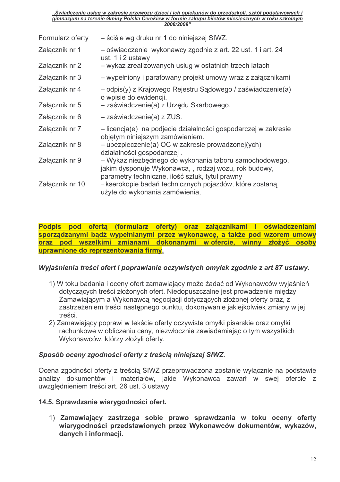| Formularz oferty | - ściśle wg druku nr 1 do niniejszej SIWZ.                                                                                                                        |
|------------------|-------------------------------------------------------------------------------------------------------------------------------------------------------------------|
| Załącznik nr 1   | - oświadczenie wykonawcy zgodnie z art. 22 ust. 1 i art. 24<br>ust. 1 i 2 ustawy                                                                                  |
| Załącznik nr 2   | - wykaz zrealizowanych usług w ostatnich trzech latach                                                                                                            |
| Załącznik nr 3   | – wypełniony i parafowany projekt umowy wraz z załącznikami                                                                                                       |
| Załącznik nr 4   | – odpis(y) z Krajowego Rejestru Sądowego / zaświadczenie(a)<br>o wpisie do ewidencji.                                                                             |
| Załącznik nr 5   | - zaświadczenie(a) z Urzędu Skarbowego.                                                                                                                           |
| Załącznik nr 6   | - zaświadczenie(a) z ZUS.                                                                                                                                         |
| Załącznik nr 7   | - licencja(e) na podjecie działalności gospodarczej w zakresie<br>objętym niniejszym zamówieniem.                                                                 |
| Załącznik nr 8   | – ubezpieczenie(a) OC w zakresie prowadzonej (ych)<br>działalności gospodarczej.                                                                                  |
| Załącznik nr 9   | – Wykaz niezbędnego do wykonania taboru samochodowego,<br>jakim dysponuje Wykonawca,, rodzaj wozu, rok budowy,<br>parametry techniczne, ilość sztuk, tytuł prawny |
| Załącznik nr 10  | – kserokopie badań technicznych pojazdów, które zostaną<br>użyte do wykonania zamówienia,                                                                         |

Podpis pod oferta (formularz oferty) oraz załącznikami i oświadczeniami sporządzanymi bądź wypełnianymi przez wykonawcę, a także pod wzorem umowy oraz pod wszelkimi zmianami dokonanymi wofercie, winny złożyć osoby uprawnione do reprezentowania firmy.

#### Wyjaśnienia treści ofert i poprawianie oczywistych omyłek zgodnie z art 87 ustawy.

- 1) W toku badania i oceny ofert zamawiający może żądać od Wykonawców wyjaśnień dotyczących treści złożonych ofert. Niedopuszczalne jest prowadzenie między Zamawiającym a Wykonawcą negocjacji dotyczących złożonej oferty oraz, z zastrzeżeniem treści następnego punktu, dokonywanie jakiejkolwiek zmiany w jej treści
- 2) Zamawiający poprawi w tekście oferty oczywiste omyłki pisarskie oraz omyłki rachunkowe w obliczeniu ceny, niezwłocznie zawiadamiając o tym wszystkich Wykonawców, którzy złożyli oferty.

#### Sposób oceny zgodności oferty z treścia niniejszej SIWZ.

Ocena zgodności oferty z treścią SIWZ przeprowadzona zostanie wyłącznie na podstawie analizy dokumentów i materiałów, jakie Wykonawca zawarł w swej ofercie z uwzględnieniem treści art. 26 ust. 3 ustawy

#### 14.5. Sprawdzanie wiarygodności ofert.

1) Zamawiający zastrzega sobie prawo sprawdzania w toku oceny oferty wiarygodności przedstawionych przez Wykonawców dokumentów, wykazów, danych i informacji.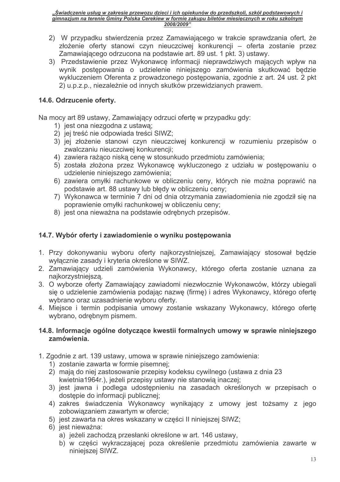- 2) W przypadku stwierdzenia przez Zamawiającego w trakcie sprawdzania ofert, że złożenie oferty stanowi czyn nieuczciwej konkurencji – oferta zostanie przez Zamawiającego odrzucona na podstawie art. 89 ust. 1 pkt. 3) ustawy.
- 3) Przedstawienie przez Wykonawcę informacji nieprawdziwych mających wpływ na wynik postepowania o udzielenie niniejszego zamówienia skutkować bedzie wykluczeniem Oferenta z prowadzonego postępowania, zgodnie z art. 24 ust. 2 pkt 2) u.p.z.p., niezależnie od innych skutków przewidzianych prawem.

#### 14.6. Odrzucenie oferty.

Na mocy art 89 ustawy, Zamawiający odrzuci oferte w przypadku gdy:

- 1) jest ona niezgodna z ustawa;
- 2) jej treść nie odpowiada treści SIWZ;
- 3) jej złożenie stanowi czyn nieuczciwej konkurencji w rozumieniu przepisów o zwalczaniu nieuczciwej konkurencji;
- 4) zawiera rażąco niską cenę w stosunkudo przedmiotu zamówienia;
- 5) została złożona przez Wykonawcę wykluczonego z udziału w postępowaniu o udzielenie niniejszego zamówienia:
- 6) zawiera omyłki rachunkowe w obliczeniu ceny, których nie można poprawić na podstawie art. 88 ustawy lub błędy w obliczeniu ceny;
- 7) Wykonawca w terminie 7 dni od dnia otrzymania zawiadomienia nie zgodził się na poprawienie omyłki rachunkowej w obliczeniu ceny:
- 8) jest ona nieważna na podstawie odrębnych przepisów.

## 14.7. Wybór oferty i zawiadomienie o wyniku postępowania

- 1. Przy dokonywaniu wyboru oferty najkorzystniejszej, Zamawiający stosował będzie wyłącznie zasady i kryteria określone w SIWZ.
- 2. Zamawiający udzieli zamówienia Wykonawcy, którego oferta zostanie uznana za najkorzystniejszą.
- 3. O wyborze oferty Zamawiający zawiadomi niezwłocznie Wykonawców, którzy ubiegali sie o udzielenie zamówienia podając nazwe (firme) i adres Wykonawcy, którego oferte wybrano oraz uzasadnienie wyboru oferty.
- 4. Miejsce i termin podpisania umowy zostanie wskazany Wykonawcy, którego ofertę wybrano, odrębnym pismem.

#### 14.8. Informacje ogólne dotyczące kwestii formalnych umowy w sprawie niniejszego zamówienia.

- 1. Zgodnie z art. 139 ustawy, umowa w sprawie niniejszego zamówienia:
	- 1) zostanie zawarta w formie pisemnej;
	- 2) mają do niej zastosowanie przepisy kodeksu cywilnego (ustawa z dnia 23 kwietnia1964r.), jeżeli przepisy ustawy nie stanowią inaczej;
	- 3) jest jawna i podlega udostępnieniu na zasadach określonych w przepisach o dostępie do informacji publicznej;
	- 4) zakres świadczenia Wykonawcy wynikający z umowy jest tożsamy z jego zobowiązaniem zawartym w ofercie:
	- 5) jest zawarta na okres wskazany w cześci II niniejszej SIWZ:
	- 6) jest nieważna:
		- a) jeżeli zachodza przesłanki określone w art. 146 ustawy.
		- b) w części wykraczającej poza określenie przedmiotu zamówienia zawarte w niniejszej SIWZ.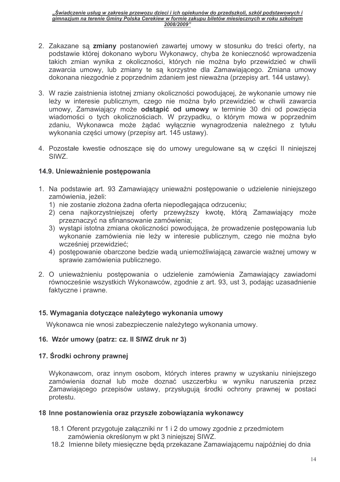- 2. Zakazane sa zmiany postanowień zawartej umowy w stosunku do treści oferty, na podstawie której dokonano wyboru Wykonawcy, chyba że konieczność wprowadzenia takich zmian wynika z okoliczności, których nie można było przewidzieć w chwili zawarcia umowy, lub zmiany te są korzystne dla Zamawiającego. Zmiana umowy dokonana niezgodnie z poprzednim zdaniem jest nieważna (przepisy art. 144 ustawy).
- 3. W razie zaistnienia istotnej zmiany okoliczności powodującej, że wykonanie umowy nie leży w interesie publicznym, czego nie można było przewidzieć w chwili zawarcia umowy, Zamawiający może odstąpić od umowy w terminie 30 dni od powzięcia wiadomości o tych okolicznościach. W przypadku, o którym mowa w poprzednim zdaniu, Wykonawca może żądać wyłącznie wynagrodzenia należnego z tytułu wykonania części umowy (przepisy art. 145 ustawy).
- 4. Pozostałe kwestie odnoszące się do umowy uregulowane są w części II niniejszej SIW<sub>7</sub>

#### 14.9. Unieważnienie postępowania

- 1. Na podstawie art. 93 Zamawiający unieważni postępowanie o udzielenie niniejszego zamówienia, jeżeli:
	- 1) nie zostanie złożona żadna oferta niepodlegająca odrzuceniu:
	- 2) cena najkorzystniejszej oferty przewyższy kwotę, którą Zamawiający może przeznaczyć na sfinansowanie zamówienia;
	- 3) wystąpi istotna zmiana okoliczności powodująca, że prowadzenie postępowania lub wykonanie zamówienia nie leży w interesie publicznym, czego nie można było wcześniej przewidzieć:
	- 4) postępowanie obarczone bedzie wadą uniemożliwiającą zawarcie ważnej umowy w sprawie zamówienia publicznego.
- 2. O unieważnieniu postepowania o udzielenie zamówienia Zamawiający zawiadomi równocześnie wszystkich Wykonawców, zgodnie z art. 93, ust 3, podając uzasadnienie faktyczne i prawne.

#### 15. Wymagania dotyczące należytego wykonania umowy

Wykonawca nie wnosi zabezpieczenie należytego wykonania umowy.

#### 16. Wzór umowy (patrz: cz. II SIWZ druk nr 3)

#### 17. Środki ochrony prawnej

Wykonawcom, oraz innym osobom, których interes prawny w uzyskaniu niniejszego zamówienia doznał lub może doznać uszczerbku w wyniku naruszenia przez Zamawiającego przepisów ustawy, przysługują środki ochrony prawnej w postaci protestu.

#### 18 Inne postanowienia oraz przyszłe zobowiązania wykonawcy

- 18.1 Oferent przygotuje załączniki nr 1 i 2 do umowy zgodnie z przedmiotem zamówienia określonym w pkt 3 niniejszej SIWZ.
- 18.2 Imienne bilety miesieczne beda przekazane Zamawiającemu najpóźniej do dnia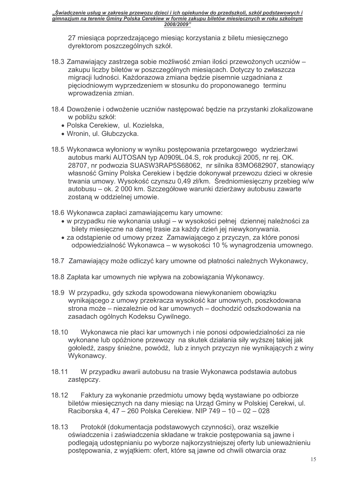27 miesiąca poprzedzającego miesiąc korzystania z biletu miesięcznego dyrektorom poszczególnych szkół.

- 18.3 Zamawiający zastrzegą sobie możliwość zmian ilości przewożonych uczniów zakupu liczby biletów w poszczególnych miesiącach. Dotyczy to zwłaszcza migracji ludności. Każdorazowa zmiana będzie pisemnie uzgadniana z pięciodniowym wyprzedzeniem w stosunku do proponowanego terminu wprowadzenia zmian.
- 18.4 Dowożenie i odwożenie uczniów następować będzie na przystanki zlokalizowane w pobliżu szkół:
	- · Polska Cerekiew, ul. Kozielska,
	- · Wronin, ul. Głubczycka,
- 18.5 Wykonawca wyłoniony w wyniku postępowania przetargowego wydzierżawi autobus marki AUTOSAN typ A0909L.04.S, rok produkcji 2005, nr rej. OK. 28707, nr podwozia SUASW3RAP5S68062, nr silnika 83MO682907, stanowiący własność Gminy Polska Cerekiew i bedzie dokonywał przewozu dzieci w okresie trwania umowy. Wysokość czynszu 0,49 zł/km. Średniomiesięczny przebieg w/w autobusu - ok. 2 000 km. Szczegółowe warunki dzierżawy autobusu zawarte zostaną w oddzielnej umowie.
- 18.6 Wykonawca zapłaci zamawiającemu kary umowne:
	- · w przypadku nie wykonania usługi w wysokości pełnej dziennej należności za bilety miesieczne na danej trasie za każdy dzień jej niewykonywania.
	- za odstąpienie od umowy przez Zamawiającego z przyczyn, za które ponosi odpowiedzialność Wykonawca – w wysokości 10 % wynagrodzenia umownego.
- 18.7 Zamawiający może odliczyć kary umowne od płatności należnych Wykonawcy,
- 18.8 Zapłata kar umownych nie wpływa na zobowiązania Wykonawcy.
- 18.9 W przypadku, gdy szkoda spowodowana niewykonaniem obowiązku wynikającego z umowy przekracza wysokość kar umownych, poszkodowana strona może – niezależnie od kar umownych – dochodzić odszkodowania na zasadach ogólnych Kodeksu Cywilnego.
- 18.10 Wykonawca nie płaci kar umownych i nie ponosi odpowiedzialności za nie wykonane lub opóźnione przewozy na skutek działania siły wyższej takiej jak gołoledź, zaspy śnieżne, powódź, lub z innych przyczyn nie wynikających z winy Wykonawcy.
- 18.11 W przypadku awarii autobusu na trasie Wykonawca podstawia autobus zastepczy.
- 18.12 Faktury za wykonanie przedmiotu umowy będą wystawiane po odbiorze biletów miesięcznych na dany miesiąc na Urząd Gminy w Polskiej Cerekwi, ul. Raciborska 4, 47 – 260 Polska Cerekiew, NIP 749 – 10 – 02 – 028
- 18.13 Protokół (dokumentacja podstawowych czynności), oraz wszelkie oświadczenia i zaświadczenia składane w trakcie postępowania są jawne i podlegają udostępnianiu po wyborze najkorzystniejszej oferty lub unieważnieniu postepowania, z wyjątkiem: ofert, które są jawne od chwili otwarcia oraz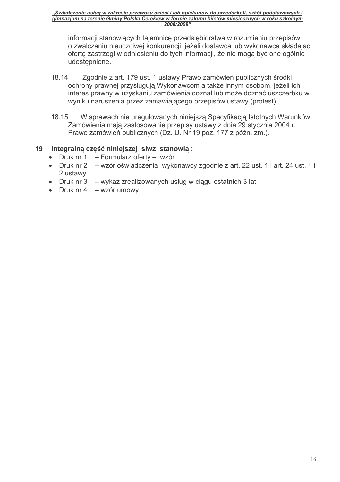informacji stanowiących tajemnicę przedsiębiorstwa w rozumieniu przepisów o zwalczaniu nieuczciwej konkurencji, jeżeli dostawca lub wykonawca składając oferte zastrzegł w odniesieniu do tych informacji, że nie mogą być one ogólnie udostepnione.

- 18.14 Zgodnie z art. 179 ust. 1 ustawy Prawo zamówień publicznych środki ochrony prawnej przysługują Wykonawcom a także innym osobom, jeżeli ich interes prawny w uzyskaniu zamówienia doznał lub może doznać uszczerbku w wyniku naruszenia przez zamawiającego przepisów ustawy (protest).
- 18 15 W sprawach nie uregulowanych niniejsza Specyfikacja Istotnych Warunków Zamówienia mają zastosowanie przepisy ustawy z dnia 29 stycznia 2004 r. Prawo zamówień publicznych (Dz. U. Nr 19 poz. 177 z późn. zm.).

#### 19 Integralną część niniejszej siwz stanowią:

- $\bullet$  Druk nr 1 - Formularz oferty - wzór
- Druk nr 2 wzór oświadczenia wykonawcy zgodnie z art. 22 ust. 1 i art. 24 ust. 1 i 2 ustawy
- Druk nr  $3 w$ ykaz zrealizowanych usług w ciągu ostatnich 3 lat
- Druk  $nr 4 wz$ ór umowy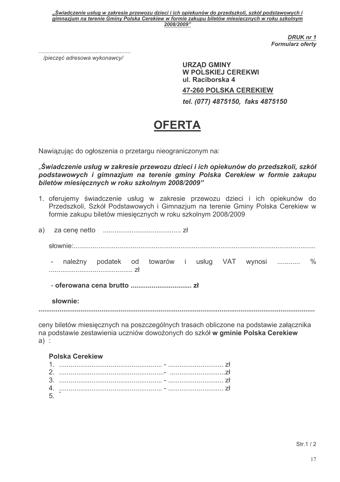> **DRUK nr 1 Formularz oferty**

/pieczeć adresowa wykonawcy/

**URZĄD GMINY W POLSKIEJ CEREKWI** ul. Raciborska 4 **47-260 POLSKA CEREKIEW** tel. (077) 4875150, faks 4875150

# **OFERTA**

Nawiązując do ogłoszenia o przetargu nieograniczonym na:

"Świadczenie usług w zakresie przewozu dzieci i ich opiekunów do przedszkoli, szkół podstawowych i gimnazjum na terenie gminy Polska Cerekiew w formie zakupu biletów miesięcznych w roku szkolnym 2008/2009"

1. oferujemy świadczenie usług w zakresie przewozu dzieci i ich opiekunów do Przedszkoli, Szkół Podstawowych i Gimnazjum na terenie Gminy Polska Cerekiew w formie zakupu biletów miesięcznych w roku szkolnym 2008/2009

|  |          |  |  | - należny podatek od towarów i usług VAT wynosi  %                                    |  |  |  |  |
|--|----------|--|--|---------------------------------------------------------------------------------------|--|--|--|--|
|  |          |  |  |                                                                                       |  |  |  |  |
|  | słownie: |  |  |                                                                                       |  |  |  |  |
|  |          |  |  | ceny hiletów miesiecznych na poszczególnych trasach obliczone na podstawie załacznika |  |  |  |  |

ceny biletów miesięcznych na poszczególnych trasach obliczone na podstawie załącznika na podstawie zestawienia uczniów dowożonych do szkół w gminie Polska Cerekiew  $a)$ :

**Polska Cerekiew** 5.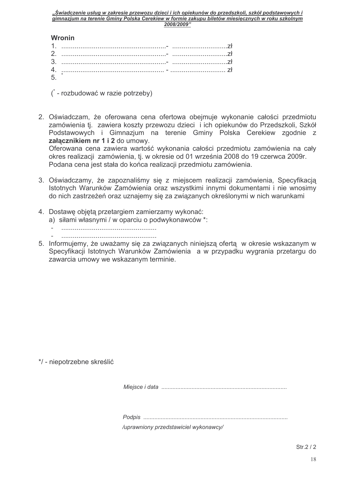#### **Wronin**

| $5.$ $\overline{\phantom{a}}$ |  |  |  |  |
|-------------------------------|--|--|--|--|

 $($  - rozbudować w razie potrzeby)

2. Oświadczam, że oferowana cena ofertowa obejmuje wykonanie całości przedmiotu zamówienia tj. zawiera koszty przewozu dzieci i ich opiekunów do Przedszkoli, Szkół Podstawowych i Gimnazjum na terenie Gminy Polska Cerekiew zgodnie z załącznikiem nr 1 i 2 do umowy.

Oferowana cena zawiera wartość wykonania całości przedmiotu zamówienia na cały okres realizacji zamówienia, tj. w okresie od 01 września 2008 do 19 czerwca 2009r. Podana cena jest stała do końca realizacji przedmiotu zamówienia.

- 3. Oświadczamy, że zapoznaliśmy się z miejscem realizacji zamówienia, Specyfikacją Istotnych Warunków Zamówienia oraz wszystkimi innymi dokumentami i nie wnosimy do nich zastrzeżeń oraz uznajemy się za związanych określonymi w nich warunkami
- 4. Dostawę objętą przetargiem zamierzamy wykonać:
	- a) siłami własnymi / w oparciu o podwykonawców \*:
	-
	-
- 5. Informujemy, że uważamy się za związanych niniejszą ofertą w okresie wskazanym w Specyfikacji Istotnych Warunków Zamówienia a w przypadku wygrania przetargu do zawarcia umowy we wskazanym terminie.

\*/ - niepotrzebne skreślić

/uprawniony przedstawiciel wykonawcy/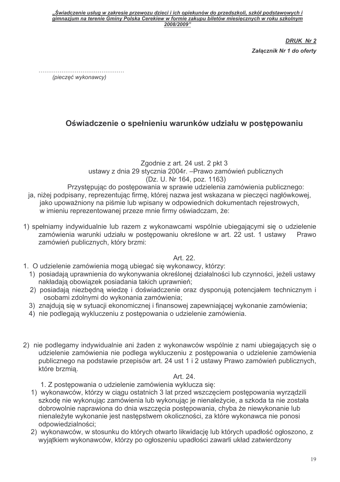> **DRUK Nr 2** Załącznik Nr 1 do oferty

(pieczęć wykonawcy)

# Oświadczenie o spełnieniu warunków udziału w postepowaniu

Zgodnie z art. 24 ust. 2 pkt 3 ustawy z dnia 29 stycznia 2004r. – Prawo zamówień publicznych (Dz. U. Nr 164, poz. 1163) Przystępując do postępowania w sprawie udzielenia zamówienia publicznego:

- ja, niżej podpisany, reprezentując firmę, której nazwa jest wskazana w pieczęci nagłówkowej, jako upoważniony na piśmie lub wpisany w odpowiednich dokumentach rejestrowych, w imieniu reprezentowanej przeze mnie firmy oświadczam, że:
- 1) spełniamy indywidualnie lub razem z wykonawcami wspólnie ubiegającymi się o udzielenie zamówienia warunki udziału w postępowaniu określone w art. 22 ust. 1 ustawy Prawo zamówień publicznych, który brzmi:

#### Art. 22.

- 1. O udzielenie zamówienia mogą ubiegać się wykonawcy, którzy:
	- 1) posiadają uprawnienia do wykonywania określonej działalności lub czynności, jeżeli ustawy nakładają obowiązek posiadania takich uprawnień;
	- 2) posiadają niezbędną wiedzę i doświadczenie oraz dysponują potencjałem technicznym i osobami zdolnymi do wykonania zamówienia;
	- 3) znajdują się w sytuacji ekonomicznej i finansowej zapewniającej wykonanie zamówienia;
	- 4) nie podlegają wykluczeniu z postępowania o udzielenie zamówienia.
- 2) nie podlegamy indywidualnie ani żaden z wykonawców wspólnie z nami ubiegających się o udzielenie zamówienia nie podlega wykluczeniu z postępowania o udzielenie zamówienia publicznego na podstawie przepisów art. 24 ust 1 i 2 ustawy Prawo zamówień publicznych, które brzmia.

#### Art. 24.

- 1. Z postępowania o udzielenie zamówienia wyklucza się:
- 1) wykonawców, którzy w ciągu ostatnich 3 lat przed wszczęciem postępowania wyrządzili szkodę nie wykonując zamówienia lub wykonując je nienależycie, a szkoda ta nie została dobrowolnie naprawiona do dnia wszczęcia postępowania, chyba że niewykonanie lub nienależyte wykonanie jest następstwem okoliczności, za które wykonawca nie ponosi odpowiedzialności:
- 2) wykonawców, w stosunku do których otwarto likwidacje lub których upadłość ogłoszono, z wyjątkiem wykonawców, którzy po ogłoszeniu upadłości zawarli układ zatwierdzony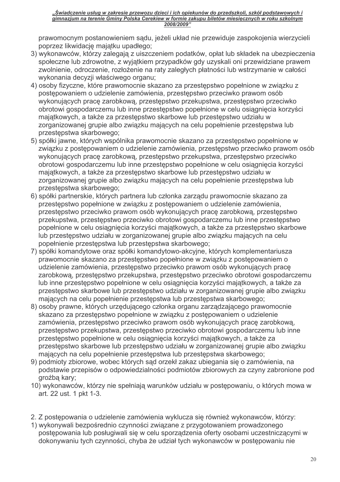prawomocnym postanowieniem sądu, jeżeli układ nie przewiduje zaspokojenia wierzycieli poprzez likwidację majątku upadłego;

- 3) wykonawców, którzy zalegają z uiszczeniem podatków, opłat lub składek na ubezpieczenia społeczne lub zdrowotne, z wyjątkiem przypadków gdy uzyskali oni przewidziane prawem zwolnienie, odroczenie, rozłożenie na raty zaległych płatności lub wstrzymanie w całości wykonania decyzji właściwego organu;
- 4) osoby fizyczne, które prawomocnie skazano za przestępstwo popełnione w związku z postępowaniem o udzielenie zamówienia, przestępstwo przeciwko prawom osób wykonujących pracę zarobkową, przestępstwo przekupstwa, przestępstwo przeciwko obrotowi gospodarczemu lub inne przestępstwo popełnione w celu osiągnięcia korzyści majatkowych, a także za przestepstwo skarbowe lub przestepstwo udziału w zorganizowanej grupie albo związku mających na celu popełnienie przestępstwa lub przestepstwa skarbowego:
- 5) spółki jawne, których wspólnika prawomocnie skazano za przestępstwo popełnione w związku z postepowaniem o udzielenie zamówienia, przestepstwo przeciwko prawom osób wykonujących pracę zarobkową, przestępstwo przekupstwa, przestępstwo przeciwko obrotowi gospodarczemu lub inne przestępstwo popełnione w celu osiągnięcia korzyści majatkowych, a także za przestepstwo skarbowe lub przestepstwo udziału w zorganizowanej grupie albo związku mających na celu popełnienie przestępstwa lub przestepstwa skarbowego;
- 6) spółki partnerskie, których partnera lub członka zarządu prawomocnie skazano za przestepstwo popełnione w zwiazku z postepowaniem o udzielenie zamówienia. przestępstwo przeciwko prawom osób wykonujących prace zarobkową, przestępstwo przekupstwa, przestępstwo przeciwko obrotowi gospodarczemu lub inne przestępstwo popełnione w celu osiągniecia korzyści majatkowych, a także za przestepstwo skarbowe lub przestępstwo udziału w zorganizowanej grupie albo związku mających na celu popełnienie przestępstwa lub przestępstwa skarbowego;
- 7) spółki komandytowe oraz spółki komandytowo-akcyjne, których komplementariusza prawomocnie skazano za przestępstwo popełnione w związku z postępowaniem o udzielenie zamówienia, przestepstwo przeciwko prawom osób wykonujących prace zarobkową, przestępstwo przekupstwa, przestępstwo przeciwko obrotowi gospodarczemu lub inne przestępstwo popełnione w celu osiągnięcia korzyści majątkowych, a także za przestępstwo skarbowe lub przestępstwo udziału w zorganizowanej grupie albo związku mających na celu popełnienie przestępstwa lub przestępstwa skarbowego;
- 8) osoby prawne, których urzędującego członka organu zarządzającego prawomocnie skazano za przestępstwo popełnione w związku z postępowaniem o udzielenie zamówienia, przestepstwo przeciwko prawom osób wykonujących prace zarobkową. przestępstwo przekupstwa, przestępstwo przeciwko obrotowi gospodarczemu lub inne przestępstwo popełnione w celu osiągnięcia korzyści majątkowych, a także za przestępstwo skarbowe lub przestępstwo udziału w zorganizowanej grupie albo związku majacych na celu popełnienie przestepstwa lub przestepstwa skarbowego:
- 9) podmioty zbiorowe, wobec których sad orzekł zakaz ubiegania się o zamówienia, na podstawie przepisów o odpowiedzialności podmiotów zbiorowych za czyny zabronione pod groźbą kary;
- 10) wykonawców, którzy nie spełniają warunków udziału w postępowaniu, o których mowa w art. 22 ust. 1 pkt 1-3.
- 2. Z postępowania o udzielenie zamówienia wyklucza się również wykonawców, którzy:
- 1) wykonywali bezpośrednio czynności związane z przygotowaniem prowadzonego postępowania lub posługiwali się w celu sporządzenia oferty osobami uczestniczącymi w dokonywaniu tych czynności, chyba że udział tych wykonawców w postępowaniu nie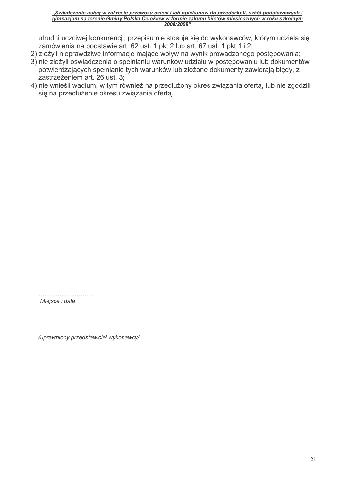utrudni uczciwej konkurencji; przepisu nie stosuje się do wykonawców, którym udziela się zamówienia na podstawie art. 62 ust. 1 pkt 2 lub art. 67 ust. 1 pkt 1 i 2;

- 2) złożyli nieprawdziwe informacje mające wpływ na wynik prowadzonego postępowania;
- 3) nie złożyli oświadczenia o spełnianiu warunków udziału w postępowaniu lub dokumentów potwierdzających spełnianie tych warunków lub złożone dokumenty zawierają błędy, z zastrzeżeniem art. 26 ust. 3;
- 4) nie wnieśli wadium, w tym również na przedłużony okres związania ofertą, lub nie zgodzili się na przedłużenie okresu związania ofertą.

Miejsce i data

/uprawniony przedstawiciel wykonawcy/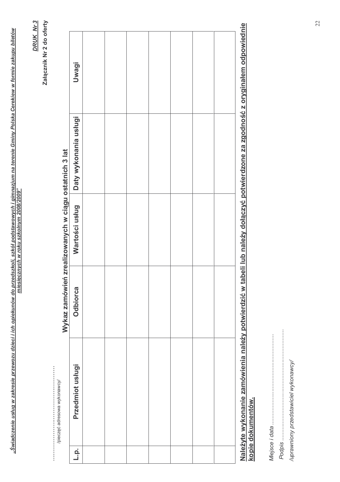| $\overline{a}$<br>l<br>j<br>ש נט בי<br><b>CARLINA MARK</b><br><b>Control</b><br>$-1/2$<br>Í<br>$\frac{1}{2}$<br>I<br>١<br>$\frac{1}{2}$ and $\frac{1}{2}$ and $\frac{1}{2}$<br>is no | 15000<br>$-222$<br>a<br>V<br>mies |
|--------------------------------------------------------------------------------------------------------------------------------------------------------------------------------------|-----------------------------------|
|--------------------------------------------------------------------------------------------------------------------------------------------------------------------------------------|-----------------------------------|

DRUK Nr 3

Załącznik Nr 2 do oferty

Wykaz zamówień zrealizowanych w ciągu ostatnich 3 lat

| <b>Uwagi</b>          |  |  |  |                                                                                                                                 |
|-----------------------|--|--|--|---------------------------------------------------------------------------------------------------------------------------------|
| Daty wykonania usługi |  |  |  |                                                                                                                                 |
| Wartości usług        |  |  |  |                                                                                                                                 |
| Odbiorca              |  |  |  |                                                                                                                                 |
| Przedmiot usługi      |  |  |  | Należyte wykonanie zamówienia należy potwierdzić w tabeli lub należy dołaczyć potwierdzone za zgodność z oryginałem odpowiednie |
| ــٰة<br>ــٰـ          |  |  |  |                                                                                                                                 |

kopie dokumentów.

/uprawniony przedstawiciel wykonawcy/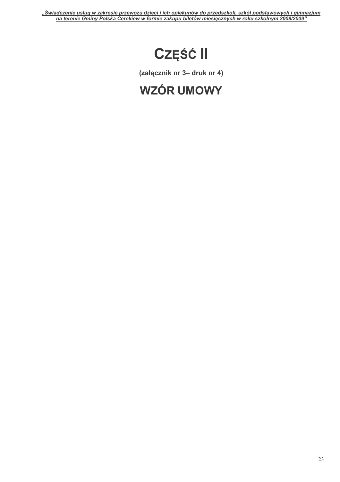# **CZĘŚĆ II**

(załącznik nr 3- druk nr 4)

# **WZÓR UMOWY**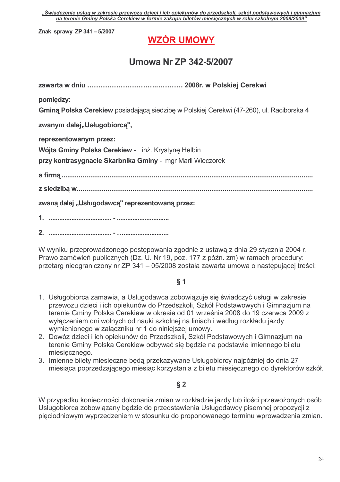Znak sprawy ZP 341 - 5/2007

# **WZÓR UMOWY**

# Umowa Nr ZP 342-5/2007

pomiędzy:

Gminą Polska Cerekiew posiadającą siedzibę w Polskiej Cerekwi (47-260), ul. Raciborska 4

zwanym dalej,, Usługobiorcą",

reprezentowanym przez:

Wójta Gminy Polska Cerekiew - inż. Krystynę Helbin

przy kontrasygnacie Skarbnika Gminy - mgr Marii Wieczorek

zwaną dalej "Usługodawcą" reprezentowaną przez:

W wyniku przeprowadzonego postępowania zgodnie z ustawą z dnia 29 stycznia 2004 r. Prawo zamówień publicznych (Dz. U. Nr 19, poz. 177 z późn. zm) w ramach procedury: przetarg nieograniczony nr ZP 341 - 05/2008 została zawarta umowa o następującej treści:

#### $\delta$  1

- 1. Usługobiorca zamawia, a Usługodawca zobowiązuje się świadczyć usługi w zakresie przewozu dzieci i ich opiekunów do Przedszkoli, Szkół Podstawowych i Gimnazjum na terenie Gminy Polska Cerekiew w okresie od 01 września 2008 do 19 czerwca 2009 z wyłączeniem dni wolnych od nauki szkolnej na liniach i według rozkładu jazdy wymienionego w załaczniku nr 1 do niniejszej umowy.
- 2. Dowóz dzieci i ich opiekunów do Przedszkoli. Szkół Podstawowych i Gimnazjum na terenie Gminy Polska Cerekiew odbywać się będzie na podstawie imiennego biletu miesiecznego.
- 3. Imienne bilety miesięczne będą przekazywane Usługobiorcy najpóźniej do dnia 27 miesiaca poprzedzającego miesiąc korzystania z biletu miesięcznego do dyrektorów szkół.

#### $\S$  2

W przypadku konieczności dokonania zmian w rozkładzie jazdy lub ilości przewożonych osób Usługobiorca zobowiązany będzie do przedstawienia Usługodawcy pisemnej propozycji z pięciodniowym wyprzedzeniem w stosunku do proponowanego terminu wprowadzenia zmian.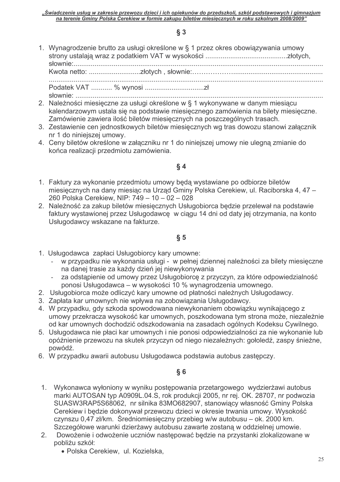#### $\S$  3

1. Wynagrodzenie brutto za usługi określone w § 1 przez okres obowiązywania umowy 

- 2. Należności miesięczne za usługi określone w § 1 wykonywane w danym miesiącu kalendarzowym ustala się na podstawie miesięcznego zamówienia na bilety miesięczne. Zamówienie zawiera ilość biletów miesięcznych na poszczególnych trasach.
- 3. Zestawienie cen jednostkowych biletów miesięcznych wg tras dowozu stanowi załącznik nr 1 do ninieiszei umowy.
- 4. Ceny biletów określone w załączniku nr 1 do niniejszej umowy nie ulegną zmianie do końca realizacji przedmiotu zamówienia.

#### $§ 4$

- 1. Faktury za wykonanie przedmiotu umowy będą wystawiane po odbiorze biletów miesięcznych na dany miesiąc na Urząd Gminy Polska Cerekiew, ul. Raciborska 4, 47 -260 Polska Cerekiew, NIP: 749 - 10 - 02 - 028
- 2. Należność za zakup biletów miesięcznych Usługobiorca będzie przelewał na podstawie faktury wystawionej przez Usługodawcę w ciągu 14 dni od daty jej otrzymania, na konto Usługodawcy wskazane na fakturze.

## $\S 5$

- 1. Usługodawca zapłaci Usługobiorcy kary umowne:
	- w przypadku nie wykonania usługi w pełnej dziennej należności za bilety miesieczne na danej trasie za każdy dzień jej niewykonywania
	- za odstąpienie od umowy przez Usługobiorcę z przyczyn, za które odpowiedzialność ponosi Usługodawca – w wysokości 10 % wynagrodzenia umownego.
- 2. Usługobiorca może odliczyć kary umowne od płatności należnych Usługodawcy.
- 3. Zapłata kar umownych nie wpływa na zobowiązania Usługodawcy.
- 4. W przypadku, gdy szkoda spowodowana niewykonaniem obowiązku wynikającego z umowy przekracza wysokość kar umownych, poszkodowana tym strona może, niezależnie od kar umownych dochodzić odszkodowania na zasadach ogólnych Kodeksu Cywilnego.
- 5. Usługodawca nie płaci kar umownych i nie ponosi odpowiedzialności za nie wykonanie lub opóźnienie przewozu na skutek przyczyn od niego niezależnych: gołoledź, zaspy śnieżne, powódź.
- 6. W przypadku awarii autobusu Usługodawca podstawia autobus zastępczy.

#### $§ 6$

- 1. Wykonawca wyłoniony w wyniku postępowania przetargowego wydzierżawi autobus marki AUTOSAN typ A0909L.04.S, rok produkcji 2005, nr rej. OK. 28707, nr podwozia SUASW3RAP5S68062, nr silnika 83MO682907, stanowiący własność Gminy Polska Cerekiew i bedzie dokonywał przewozu dzieci w okresie trwania umowy. Wysokość czynszu 0,47 zł/km. Średniomiesięczny przebieg w/w autobusu – ok. 2000 km. Szczegółowe warunki dzierżawy autobusu zawarte zostaną w oddzielnej umowie.
- 2. Dowożenie i odwożenie uczniów nastepować bedzie na przystanki zlokalizowane w pobliżu szkół:
	- · Polska Cerekiew, ul. Kozielska,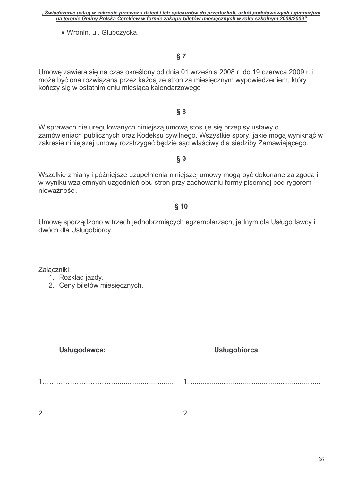|  | "Swiadczenie usług w zakresie przewozu dzieci i ich opiekunów do przedszkoli, szkół podstawowych i gimnazium |  |
|--|--------------------------------------------------------------------------------------------------------------|--|
|  | na terenie Gminy Polska Cerekiew w formie zakupu biletów miesiecznych w roku szkolnym 2008/2009"             |  |

· Wronin, ul. Głubczycka.

# $§ 7$

Umowe zawiera się na czas określony od dnia 01 września 2008 r. do 19 czerwca 2009 r. i może być ona rozwiązana przez każdą ze stron za miesięcznym wypowiedzeniem, który kończy się w ostatnim dniu miesiąca kalendarzowego

## $§ 8$

W sprawach nie uregulowanych niniejszą umową stosuje się przepisy ustawy o zamówieniach publicznych oraz Kodeksu cywilnego. Wszystkie spory, jakie mogą wyniknąć w zakresie niniejszej umowy rozstrzygać będzie sąd właściwy dla siedziby Zamawiającego.

Wszelkie zmiany i późniejsze uzupełnienia niniejszej umowy mogą być dokonane za zgodą i w wyniku wzajemnych uzgodnień obu stron przy zachowaniu formy pisemnej pod rygorem nieważności.

# $$10$

Umowę sporządzono w trzech jednobrzmiących egzemplarzach, jednym dla Usługodawcy i dwóch dla Usługobiorcy.

Załączniki:

- 1. Rozkład jazdy.
- 2. Ceny biletów miesiecznych.

Usługodawca:

# Usługobiorca:

 $\S 9$